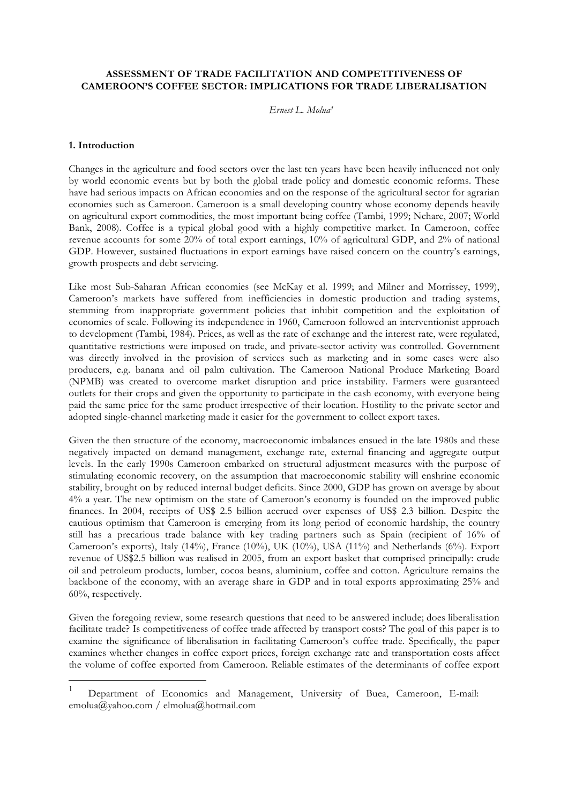## **ASSESSMENT OF TRADE FACILITATION AND COMPETITIVENESS OF CAMEROON'S COFFEE SECTOR: IMPLICATIONS FOR TRADE LIBERALISATION**

*Ernest L. Molua1*

## **1. Introduction**

Changes in the agriculture and food sectors over the last ten years have been heavily influenced not only by world economic events but by both the global trade policy and domestic economic reforms. These have had serious impacts on African economies and on the response of the agricultural sector for agrarian economies such as Cameroon. Cameroon is a small developing country whose economy depends heavily on agricultural export commodities, the most important being coffee (Tambi, 1999; Nchare, 2007; World Bank, 2008). Coffee is a typical global good with a highly competitive market. In Cameroon, coffee revenue accounts for some 20% of total export earnings, 10% of agricultural GDP, and 2% of national GDP. However, sustained fluctuations in export earnings have raised concern on the country's earnings, growth prospects and debt servicing.

Like most Sub-Saharan African economies (see McKay et al. 1999; and Milner and Morrissey, 1999), Cameroon's markets have suffered from inefficiencies in domestic production and trading systems, stemming from inappropriate government policies that inhibit competition and the exploitation of economies of scale. Following its independence in 1960, Cameroon followed an interventionist approach to development (Tambi, 1984). Prices, as well as the rate of exchange and the interest rate, were regulated, quantitative restrictions were imposed on trade, and private-sector activity was controlled. Government was directly involved in the provision of services such as marketing and in some cases were also producers, e.g. banana and oil palm cultivation. The Cameroon National Produce Marketing Board (NPMB) was created to overcome market disruption and price instability. Farmers were guaranteed outlets for their crops and given the opportunity to participate in the cash economy, with everyone being paid the same price for the same product irrespective of their location. Hostility to the private sector and adopted single-channel marketing made it easier for the government to collect export taxes.

Given the then structure of the economy, macroeconomic imbalances ensued in the late 1980s and these negatively impacted on demand management, exchange rate, external financing and aggregate output levels. In the early 1990s Cameroon embarked on structural adjustment measures with the purpose of stimulating economic recovery, on the assumption that macroeconomic stability will enshrine economic stability, brought on by reduced internal budget deficits. Since 2000, GDP has grown on average by about 4% a year. The new optimism on the state of Cameroon's economy is founded on the improved public finances. In 2004, receipts of US\$ 2.5 billion accrued over expenses of US\$ 2.3 billion. Despite the cautious optimism that Cameroon is emerging from its long period of economic hardship, the country still has a precarious trade balance with key trading partners such as Spain (recipient of 16% of Cameroon's exports), Italy (14%), France (10%), UK (10%), USA (11%) and Netherlands (6%). Export revenue of US\$2.5 billion was realised in 2005, from an export basket that comprised principally: crude oil and petroleum products, lumber, cocoa beans, aluminium, coffee and cotton. Agriculture remains the backbone of the economy, with an average share in GDP and in total exports approximating 25% and 60%, respectively.

Given the foregoing review, some research questions that need to be answered include; does liberalisation facilitate trade? Is competitiveness of coffee trade affected by transport costs? The goal of this paper is to examine the significance of liberalisation in facilitating Cameroon's coffee trade. Specifically, the paper examines whether changes in coffee export prices, foreign exchange rate and transportation costs affect the volume of coffee exported from Cameroon. Reliable estimates of the determinants of coffee export

 <sup>1</sup> Department of Economics and Management, University of Buea, Cameroon, E-mail: emolua@yahoo.com / elmolua@hotmail.com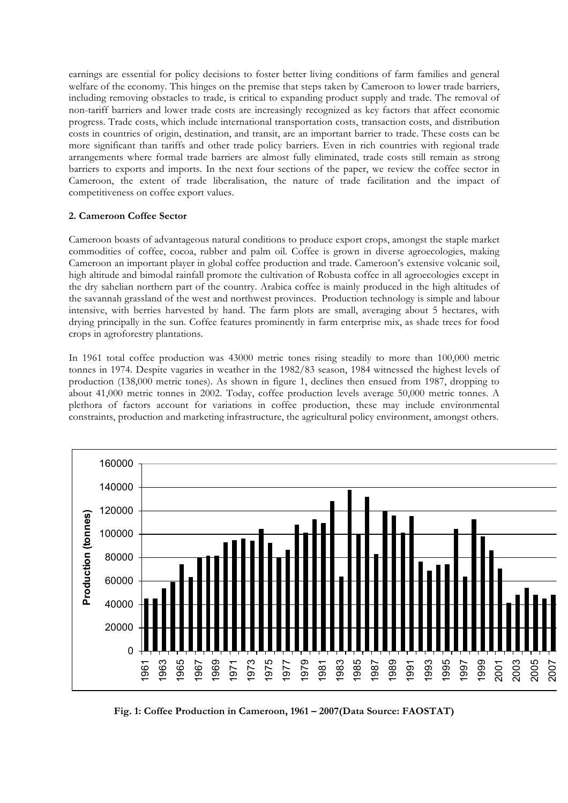earnings are essential for policy decisions to foster better living conditions of farm families and general welfare of the economy. This hinges on the premise that steps taken by Cameroon to lower trade barriers, including removing obstacles to trade, is critical to expanding product supply and trade. The removal of non-tariff barriers and lower trade costs are increasingly recognized as key factors that affect economic progress. Trade costs, which include international transportation costs, transaction costs, and distribution costs in countries of origin, destination, and transit, are an important barrier to trade. These costs can be more significant than tariffs and other trade policy barriers. Even in rich countries with regional trade arrangements where formal trade barriers are almost fully eliminated, trade costs still remain as strong barriers to exports and imports. In the next four sections of the paper, we review the coffee sector in Cameroon, the extent of trade liberalisation, the nature of trade facilitation and the impact of competitiveness on coffee export values.

# **2. Cameroon Coffee Sector**

Cameroon boasts of advantageous natural conditions to produce export crops, amongst the staple market commodities of coffee, cocoa, rubber and palm oil. Coffee is grown in diverse agroecologies, making Cameroon an important player in global coffee production and trade. Cameroon's extensive volcanic soil, high altitude and bimodal rainfall promote the cultivation of Robusta coffee in all agroecologies except in the dry sahelian northern part of the country. Arabica coffee is mainly produced in the high altitudes of the savannah grassland of the west and northwest provinces. Production technology is simple and labour intensive, with berries harvested by hand. The farm plots are small, averaging about 5 hectares, with drying principally in the sun. Coffee features prominently in farm enterprise mix, as shade trees for food crops in agroforestry plantations.

In 1961 total coffee production was 43000 metric tones rising steadily to more than 100,000 metric tonnes in 1974. Despite vagaries in weather in the 1982/83 season, 1984 witnessed the highest levels of production (138,000 metric tones). As shown in figure 1, declines then ensued from 1987, dropping to about 41,000 metric tonnes in 2002. Today, coffee production levels average 50,000 metric tonnes. A plethora of factors account for variations in coffee production, these may include environmental constraints, production and marketing infrastructure, the agricultural policy environment, amongst others.



**Fig. 1: Coffee Production in Cameroon, 1961 – 2007(Data Source: FAOSTAT)**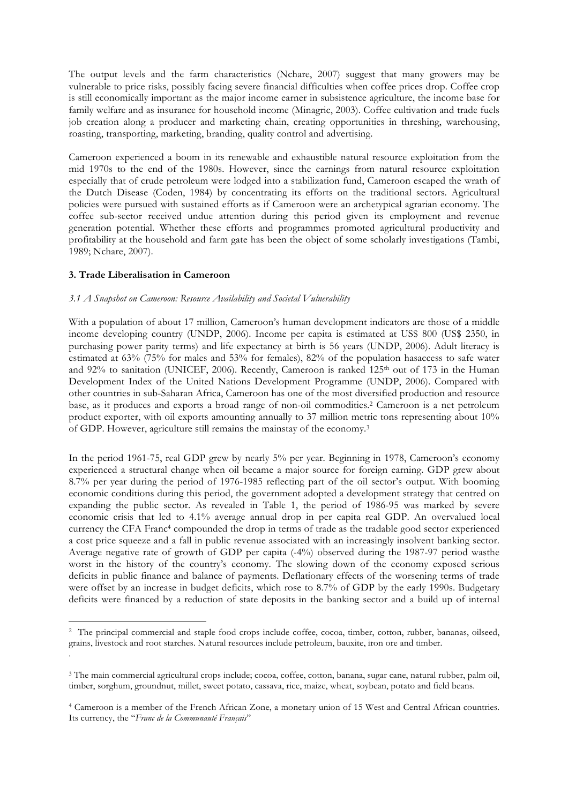The output levels and the farm characteristics (Nchare, 2007) suggest that many growers may be vulnerable to price risks, possibly facing severe financial difficulties when coffee prices drop. Coffee crop is still economically important as the major income earner in subsistence agriculture, the income base for family welfare and as insurance for household income (Minagric, 2003). Coffee cultivation and trade fuels job creation along a producer and marketing chain, creating opportunities in threshing, warehousing, roasting, transporting, marketing, branding, quality control and advertising.

Cameroon experienced a boom in its renewable and exhaustible natural resource exploitation from the mid 1970s to the end of the 1980s. However, since the earnings from natural resource exploitation especially that of crude petroleum were lodged into a stabilization fund, Cameroon escaped the wrath of the Dutch Disease (Coden, 1984) by concentrating its efforts on the traditional sectors. Agricultural policies were pursued with sustained efforts as if Cameroon were an archetypical agrarian economy. The coffee sub-sector received undue attention during this period given its employment and revenue generation potential. Whether these efforts and programmes promoted agricultural productivity and profitability at the household and farm gate has been the object of some scholarly investigations (Tambi, 1989; Nchare, 2007).

## **3. Trade Liberalisation in Cameroon**

 $\overline{a}$ 

### *3.1 A Snapshot on Cameroon: Resource Availability and Societal Vulnerability*

With a population of about 17 million, Cameroon's human development indicators are those of a middle income developing country (UNDP, 2006). Income per capita is estimated at US\$ 800 (US\$ 2350, in purchasing power parity terms) and life expectancy at birth is 56 years (UNDP, 2006). Adult literacy is estimated at 63% (75% for males and 53% for females), 82% of the population hasaccess to safe water and 92% to sanitation (UNICEF, 2006). Recently, Cameroon is ranked 125<sup>th</sup> out of 173 in the Human Development Index of the United Nations Development Programme (UNDP, 2006). Compared with other countries in sub-Saharan Africa, Cameroon has one of the most diversified production and resource base, as it produces and exports a broad range of non-oil commodities.2 Cameroon is a net petroleum product exporter, with oil exports amounting annually to 37 million metric tons representing about 10% of GDP. However, agriculture still remains the mainstay of the economy.3

In the period 1961-75, real GDP grew by nearly 5% per year. Beginning in 1978, Cameroon's economy experienced a structural change when oil became a major source for foreign earning. GDP grew about 8.7% per year during the period of 1976-1985 reflecting part of the oil sector's output. With booming economic conditions during this period, the government adopted a development strategy that centred on expanding the public sector. As revealed in Table 1, the period of 1986-95 was marked by severe economic crisis that led to 4.1% average annual drop in per capita real GDP. An overvalued local currency the CFA Franc4 compounded the drop in terms of trade as the tradable good sector experienced a cost price squeeze and a fall in public revenue associated with an increasingly insolvent banking sector. Average negative rate of growth of GDP per capita (-4%) observed during the 1987-97 period wasthe worst in the history of the country's economy. The slowing down of the economy exposed serious deficits in public finance and balance of payments. Deflationary effects of the worsening terms of trade were offset by an increase in budget deficits, which rose to 8.7% of GDP by the early 1990s. Budgetary deficits were financed by a reduction of state deposits in the banking sector and a build up of internal

<sup>2</sup> The principal commercial and staple food crops include coffee, cocoa, timber, cotton, rubber, bananas, oilseed, grains, livestock and root starches. Natural resources include petroleum, bauxite, iron ore and timber. .

<sup>3</sup> The main commercial agricultural crops include; cocoa, coffee, cotton, banana, sugar cane, natural rubber, palm oil, timber, sorghum, groundnut, millet, sweet potato, cassava, rice, maize, wheat, soybean, potato and field beans.

<sup>4</sup> Cameroon is a member of the French African Zone, a monetary union of 15 West and Central African countries. Its currency, the "*Franc de la Communauté Français*"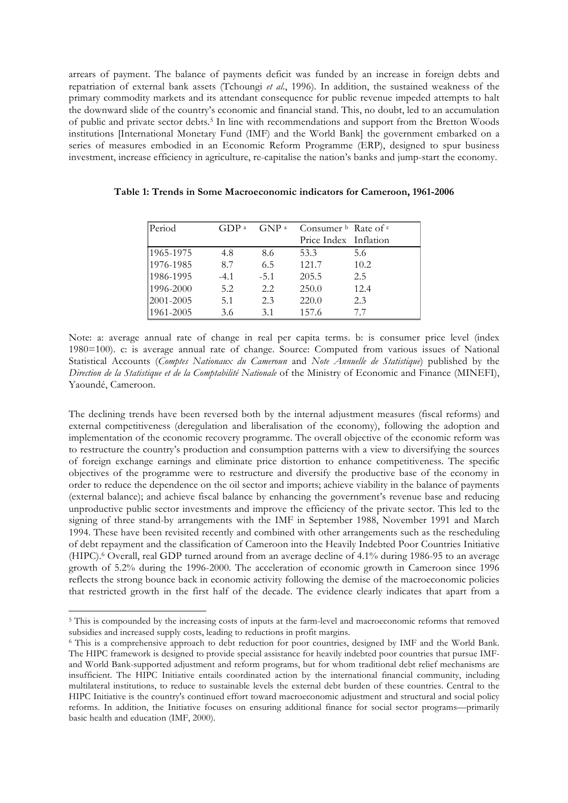arrears of payment. The balance of payments deficit was funded by an increase in foreign debts and repatriation of external bank assets (Tchoungi *et al*., 1996). In addition, the sustained weakness of the primary commodity markets and its attendant consequence for public revenue impeded attempts to halt the downward slide of the country's economic and financial stand. This, no doubt, led to an accumulation of public and private sector debts.5 In line with recommendations and support from the Bretton Woods institutions [International Monetary Fund (IMF) and the World Bank] the government embarked on a series of measures embodied in an Economic Reform Programme (ERP), designed to spur business investment, increase efficiency in agriculture, re-capitalise the nation's banks and jump-start the economy.

| Period    | GDP <sup>a</sup> | GNP <sup>a</sup> | Consumer $\frac{b}{c}$ Rate of $\frac{c}{c}$ |      |
|-----------|------------------|------------------|----------------------------------------------|------|
|           |                  |                  | Price Index Inflation                        |      |
| 1965-1975 | 4.8              | 8.6              | 53.3                                         | 5.6  |
| 1976-1985 | 8.7              | 6.5              | 121.7                                        | 10.2 |
| 1986-1995 | $-4.1$           | $-5.1$           | 205.5                                        | 2.5  |
| 1996-2000 | 5.2              | 2.2              | 250.0                                        | 12.4 |
| 2001-2005 | 5.1              | 2.3              | 220.0                                        | 2.3  |
| 1961-2005 | 3.6              | 3.1              | 157.6                                        | 7.7  |

**Table 1: Trends in Some Macroeconomic indicators for Cameroon, 1961-2006**

Note: a: average annual rate of change in real per capita terms. b: is consumer price level (index 1980=100). c: is average annual rate of change. Source: Computed from various issues of National Statistical Accounts (*Comptes Nationaux du Cameroun* and *Note Annuelle de Statistique*) published by the *Direction de la Statistique et de la Comptabilité Nationale* of the Ministry of Economic and Finance (MINEFI), Yaoundé, Cameroon.

The declining trends have been reversed both by the internal adjustment measures (fiscal reforms) and external competitiveness (deregulation and liberalisation of the economy), following the adoption and implementation of the economic recovery programme. The overall objective of the economic reform was to restructure the country's production and consumption patterns with a view to diversifying the sources of foreign exchange earnings and eliminate price distortion to enhance competitiveness. The specific objectives of the programme were to restructure and diversify the productive base of the economy in order to reduce the dependence on the oil sector and imports; achieve viability in the balance of payments (external balance); and achieve fiscal balance by enhancing the government's revenue base and reducing unproductive public sector investments and improve the efficiency of the private sector. This led to the signing of three stand-by arrangements with the IMF in September 1988, November 1991 and March 1994. These have been revisited recently and combined with other arrangements such as the rescheduling of debt repayment and the classification of Cameroon into the Heavily Indebted Poor Countries Initiative (HIPC).6 Overall, real GDP turned around from an average decline of 4.1% during 1986-95 to an average growth of 5.2% during the 1996-2000. The acceleration of economic growth in Cameroon since 1996 reflects the strong bounce back in economic activity following the demise of the macroeconomic policies that restricted growth in the first half of the decade. The evidence clearly indicates that apart from a

 $\overline{a}$ 

<sup>&</sup>lt;sup>5</sup> This is compounded by the increasing costs of inputs at the farm-level and macroeconomic reforms that removed subsidies and increased supply costs, leading to reductions in profit margins.

<sup>6</sup> This is a comprehensive approach to debt reduction for poor countries, designed by IMF and the World Bank. The HIPC framework is designed to provide special assistance for heavily indebted poor countries that pursue IMFand World Bank-supported adjustment and reform programs, but for whom traditional debt relief mechanisms are insufficient. The HIPC Initiative entails coordinated action by the international financial community, including multilateral institutions, to reduce to sustainable levels the external debt burden of these countries. Central to the HIPC Initiative is the country's continued effort toward macroeconomic adjustment and structural and social policy reforms. In addition, the Initiative focuses on ensuring additional finance for social sector programs—primarily basic health and education (IMF, 2000).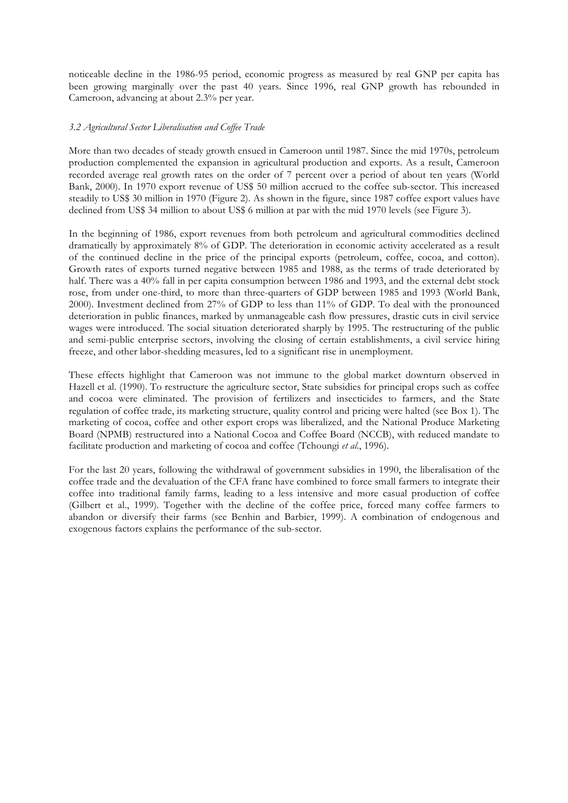noticeable decline in the 1986-95 period, economic progress as measured by real GNP per capita has been growing marginally over the past 40 years. Since 1996, real GNP growth has rebounded in Cameroon, advancing at about 2.3% per year.

## *3.2 Agricultural Sector Liberalisation and Coffee Trade*

More than two decades of steady growth ensued in Cameroon until 1987. Since the mid 1970s, petroleum production complemented the expansion in agricultural production and exports. As a result, Cameroon recorded average real growth rates on the order of 7 percent over a period of about ten years (World Bank, 2000). In 1970 export revenue of US\$ 50 million accrued to the coffee sub-sector. This increased steadily to US\$ 30 million in 1970 (Figure 2). As shown in the figure, since 1987 coffee export values have declined from US\$ 34 million to about US\$ 6 million at par with the mid 1970 levels (see Figure 3).

In the beginning of 1986, export revenues from both petroleum and agricultural commodities declined dramatically by approximately 8% of GDP. The deterioration in economic activity accelerated as a result of the continued decline in the price of the principal exports (petroleum, coffee, cocoa, and cotton). Growth rates of exports turned negative between 1985 and 1988, as the terms of trade deteriorated by half. There was a 40% fall in per capita consumption between 1986 and 1993, and the external debt stock rose, from under one-third, to more than three-quarters of GDP between 1985 and 1993 (World Bank, 2000). Investment declined from 27% of GDP to less than 11% of GDP. To deal with the pronounced deterioration in public finances, marked by unmanageable cash flow pressures, drastic cuts in civil service wages were introduced. The social situation deteriorated sharply by 1995. The restructuring of the public and semi-public enterprise sectors, involving the closing of certain establishments, a civil service hiring freeze, and other labor-shedding measures, led to a significant rise in unemployment.

These effects highlight that Cameroon was not immune to the global market downturn observed in Hazell et al. (1990). To restructure the agriculture sector, State subsidies for principal crops such as coffee and cocoa were eliminated. The provision of fertilizers and insecticides to farmers, and the State regulation of coffee trade, its marketing structure, quality control and pricing were halted (see Box 1). The marketing of cocoa, coffee and other export crops was liberalized, and the National Produce Marketing Board (NPMB) restructured into a National Cocoa and Coffee Board (NCCB), with reduced mandate to facilitate production and marketing of cocoa and coffee (Tchoungi *et al*., 1996).

For the last 20 years, following the withdrawal of government subsidies in 1990, the liberalisation of the coffee trade and the devaluation of the CFA franc have combined to force small farmers to integrate their coffee into traditional family farms, leading to a less intensive and more casual production of coffee (Gilbert et al., 1999). Together with the decline of the coffee price, forced many coffee farmers to abandon or diversify their farms (see Benhin and Barbier, 1999). A combination of endogenous and exogenous factors explains the performance of the sub-sector.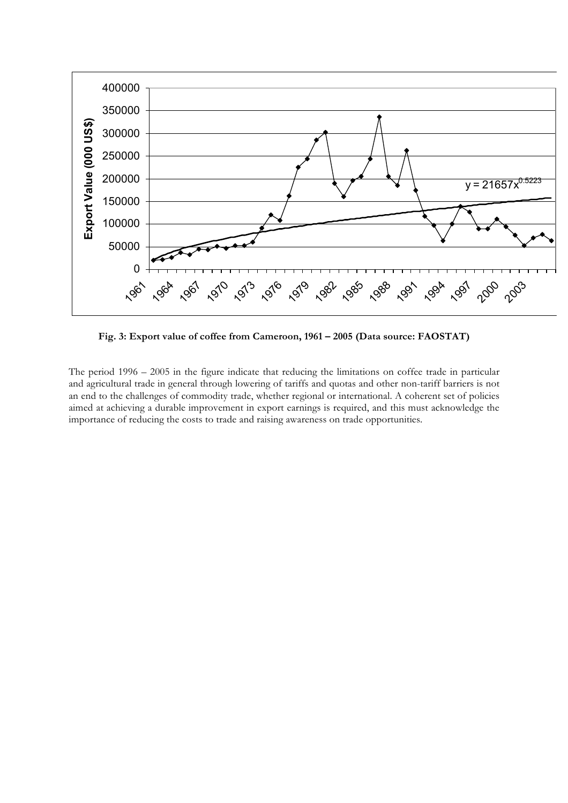

**Fig. 3: Export value of coffee from Cameroon, 1961 – 2005 (Data source: FAOSTAT)**

The period 1996 – 2005 in the figure indicate that reducing the limitations on coffee trade in particular and agricultural trade in general through lowering of tariffs and quotas and other non-tariff barriers is not an end to the challenges of commodity trade, whether regional or international. A coherent set of policies aimed at achieving a durable improvement in export earnings is required, and this must acknowledge the importance of reducing the costs to trade and raising awareness on trade opportunities.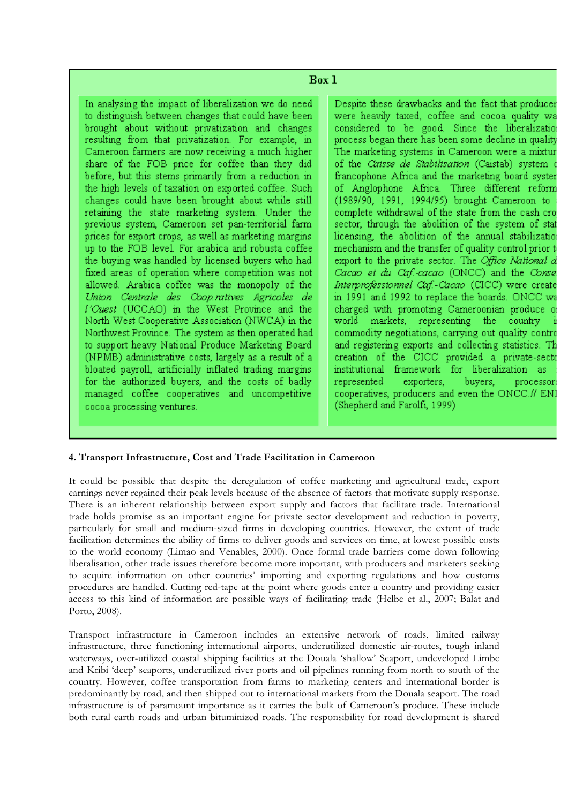In analysing the impact of liberalization we do need to distinguish between changes that could have been brought about without privatization and changes resulting from that privatization. For example, in Cameroon farmers are now receiving a much higher share of the FOB price for coffee than they did before, but this stems primarily from a reduction in the high levels of taxation on exported coffee. Such changes could have been brought about while still retaining the state marketing system. Under the previous system, Cameroon set pan-territorial farm prices for export crops, as well as marketing margins up to the FOB level. For arabica and robusta coffee the buying was handled by licensed buyers who had fixed areas of operation where competition was not allowed. Arabica coffee was the monopoly of the Union Centrale des Coop.ratives Agricoles de l'Ouest (UCCAO) in the West Province and the North West Cooperative Association (NWCA) in the Northwest Province. The system as then operated had to support heavy National Produce Marketing Board (NPMB) administrative costs, largely as a result of a bloated payroll, artificially inflated trading margins for the authorized buyers, and the costs of badly managed coffee cooperatives and uncompetitive cocoa processing ventures.

Despite these drawbacks and the fact that producer were heavily taxed, coffee and cocoa quality wa considered to be good. Since the liberalization process began there has been some decline in quality The marketing systems in Cameroon were a mixtur of the Caisse de Stabilisation (Caistab) system francophone Africa and the marketing board syster of Anglophone Africa. Three different reform (1989/90, 1991, 1994/95) brought Cameroon to complete withdrawal of the state from the cash cro sector, through the abolition of the system of stat licensing, the abolition of the annual stabilization mechanism and the transfer of quality control prior t export to the private sector. The Office National d Cacao et du Caf.-cacao (ONCC) and the Conse Interprofessionnel Caf.-Cacao (CICC) were create in 1991 and 1992 to replace the boards. ONCC wa charged with promoting Cameroonian produce o world markets, representing the country commodity negotiations, carrying out quality contro and registering exports and collecting statistics. Th creation of the CICC provided a private-secto institutional framework for liberalization as represented exporters, buyers. processor: cooperatives, producers and even the ONCC.// ENI (Shepherd and Farolfi, 1999)

## **4. Transport Infrastructure, Cost and Trade Facilitation in Cameroon**

It could be possible that despite the deregulation of coffee marketing and agricultural trade, export earnings never regained their peak levels because of the absence of factors that motivate supply response. There is an inherent relationship between export supply and factors that facilitate trade. International trade holds promise as an important engine for private sector development and reduction in poverty, particularly for small and medium-sized firms in developing countries. However, the extent of trade facilitation determines the ability of firms to deliver goods and services on time, at lowest possible costs to the world economy (Limao and Venables, 2000). Once formal trade barriers come down following liberalisation, other trade issues therefore become more important, with producers and marketers seeking to acquire information on other countries' importing and exporting regulations and how customs procedures are handled. Cutting red-tape at the point where goods enter a country and providing easier access to this kind of information are possible ways of facilitating trade (Helbe et al., 2007; Balat and Porto, 2008).

Transport infrastructure in Cameroon includes an extensive network of roads, limited railway infrastructure, three functioning international airports, underutilized domestic air-routes, tough inland waterways, over-utilized coastal shipping facilities at the Douala 'shallow' Seaport, undeveloped Limbe and Kribi 'deep' seaports, underutilized river ports and oil pipelines running from north to south of the country. However, coffee transportation from farms to marketing centers and international border is predominantly by road, and then shipped out to international markets from the Douala seaport. The road infrastructure is of paramount importance as it carries the bulk of Cameroon's produce. These include both rural earth roads and urban bituminized roads. The responsibility for road development is shared

## $Box 1$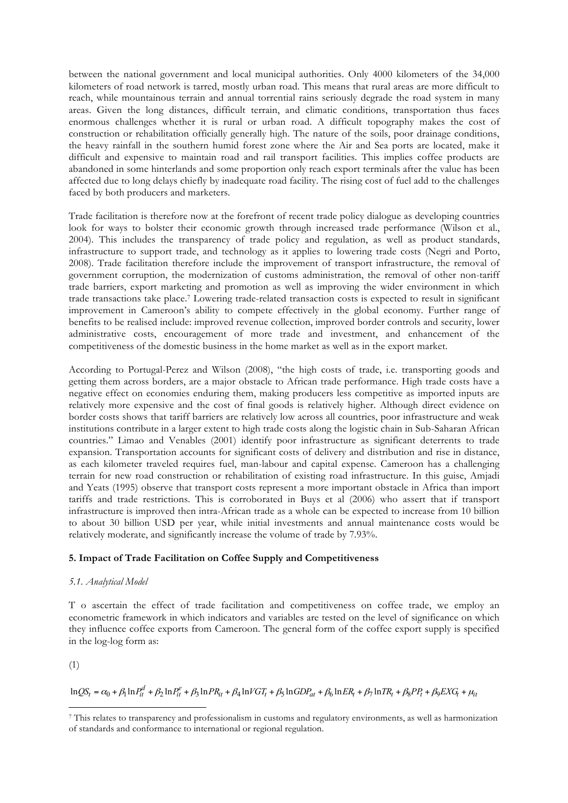between the national government and local municipal authorities. Only 4000 kilometers of the 34,000 kilometers of road network is tarred, mostly urban road. This means that rural areas are more difficult to reach, while mountainous terrain and annual torrential rains seriously degrade the road system in many areas. Given the long distances, difficult terrain, and climatic conditions, transportation thus faces enormous challenges whether it is rural or urban road. A difficult topography makes the cost of construction or rehabilitation officially generally high. The nature of the soils, poor drainage conditions, the heavy rainfall in the southern humid forest zone where the Air and Sea ports are located, make it difficult and expensive to maintain road and rail transport facilities. This implies coffee products are abandoned in some hinterlands and some proportion only reach export terminals after the value has been affected due to long delays chiefly by inadequate road facility. The rising cost of fuel add to the challenges faced by both producers and marketers.

Trade facilitation is therefore now at the forefront of recent trade policy dialogue as developing countries look for ways to bolster their economic growth through increased trade performance (Wilson et al., 2004). This includes the transparency of trade policy and regulation, as well as product standards, infrastructure to support trade, and technology as it applies to lowering trade costs (Negri and Porto, 2008). Trade facilitation therefore include the improvement of transport infrastructure, the removal of government corruption, the modernization of customs administration, the removal of other non-tariff trade barriers, export marketing and promotion as well as improving the wider environment in which trade transactions take place.7 Lowering trade-related transaction costs is expected to result in significant improvement in Cameroon's ability to compete effectively in the global economy. Further range of benefits to be realised include: improved revenue collection, improved border controls and security, lower administrative costs, encouragement of more trade and investment, and enhancement of the competitiveness of the domestic business in the home market as well as in the export market.

According to Portugal-Perez and Wilson (2008), "the high costs of trade, i.e. transporting goods and getting them across borders, are a major obstacle to African trade performance. High trade costs have a negative effect on economies enduring them, making producers less competitive as imported inputs are relatively more expensive and the cost of final goods is relatively higher. Although direct evidence on border costs shows that tariff barriers are relatively low across all countries, poor infrastructure and weak institutions contribute in a larger extent to high trade costs along the logistic chain in Sub-Saharan African countries." Limao and Venables (2001) identify poor infrastructure as significant deterrents to trade expansion. Transportation accounts for significant costs of delivery and distribution and rise in distance, as each kilometer traveled requires fuel, man-labour and capital expense. Cameroon has a challenging terrain for new road construction or rehabilitation of existing road infrastructure. In this guise, Amjadi and Yeats (1995) observe that transport costs represent a more important obstacle in Africa than import tariffs and trade restrictions. This is corroborated in Buys et al (2006) who assert that if transport infrastructure is improved then intra-African trade as a whole can be expected to increase from 10 billion to about 30 billion USD per year, while initial investments and annual maintenance costs would be relatively moderate, and significantly increase the volume of trade by 7.93%.

## **5. Impact of Trade Facilitation on Coffee Supply and Competitiveness**

## *5.1. Analytical Model*

T o ascertain the effect of trade facilitation and competitiveness on coffee trade, we employ an econometric framework in which indicators and variables are tested on the level of significance on which they influence coffee exports from Cameroon. The general form of the coffee export supply is specified in the log-log form as:

(1)

 $\ln QS_t = \alpha_0 + \beta_1 \ln P_{it}^d + \beta_2 \ln P_{it}^e + \beta_3 \ln PR_{it} + \beta_4 \ln VGT_t + \beta_5 \ln GDP_{at} + \beta_6 \ln ER_t + \beta_7 \ln TR_t + \beta_8 PP_t + \beta_9 EXG_t + \mu_{it}$ 

 $\overline{a}$ <sup>7</sup> This relates to transparency and professionalism in customs and regulatory environments, as well as harmonization of standards and conformance to international or regional regulation.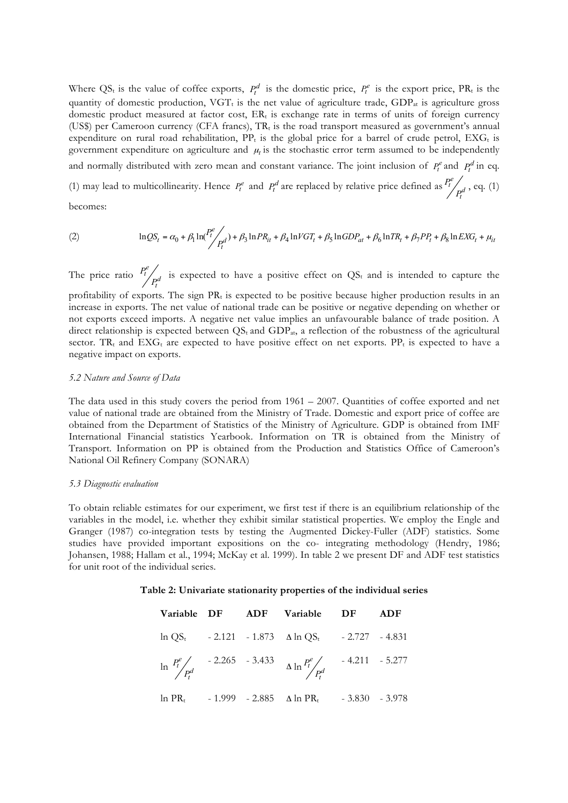Where QS<sub>t</sub> is the value of coffee exports,  $P_t^d$  is the domestic price,  $P_t^e$  is the export price, PR<sub>t</sub> is the quantity of domestic production,  $VGT_t$  is the net value of agriculture trade, GDP<sub>at</sub> is agriculture gross domestic product measured at factor cost,  $ER_t$  is exchange rate in terms of units of foreign currency (US\$) per Cameroon currency (CFA francs),  $TR<sub>t</sub>$  is the road transport measured as government's annual expenditure on rural road rehabilitation,  $PP<sub>t</sub>$  is the global price for a barrel of crude petrol,  $EXG<sub>t</sub>$  is government expenditure on agriculture and  $\mu_t$  is the stochastic error term assumed to be independently and normally distributed with zero mean and constant variance. The joint inclusion of  $P_t^e$  and  $P_t^d$  in eq. (1) may lead to multicollinearity. Hence  $P_t^e$  and  $P_t^d$  are replaced by relative price defined as  $P_t^f$ *e t*  $\frac{P_t^e}{P_t^d}$ , eq. (1) becomes:

(2) 
$$
\ln QS_t = \alpha_0 + \beta_1 \ln \left( \frac{P_t^e}{P_t^d} \right) + \beta_3 \ln PR_{it} + \beta_4 \ln VGT_t + \beta_5 \ln GDP_{at} + \beta_6 \ln TR_t + \beta_7 PP_t + \beta_8 \ln EXG_t + \mu_{it}
$$

The price ratio  $\frac{P_t}{P_t^d}$ *e t*  $P_t^e / P_t^d$  is expected to have a positive effect on QS<sub>t</sub> and is intended to capture the profitability of exports. The sign  $PR_t$  is expected to be positive because higher production results in an increase in exports. The net value of national trade can be positive or negative depending on whether or not exports exceed imports. A negative net value implies an unfavourable balance of trade position. A direct relationship is expected between  $QS_t$  and  $GDP_{at}$ , a reflection of the robustness of the agricultural sector. TR<sub>t</sub> and EXG<sub>t</sub> are expected to have positive effect on net exports. PP<sub>t</sub> is expected to have a negative impact on exports.

#### *5.2 Nature and Source of Data*

The data used in this study covers the period from 1961 – 2007. Quantities of coffee exported and net value of national trade are obtained from the Ministry of Trade. Domestic and export price of coffee are obtained from the Department of Statistics of the Ministry of Agriculture. GDP is obtained from IMF International Financial statistics Yearbook. Information on TR is obtained from the Ministry of Transport. Information on PP is obtained from the Production and Statistics Office of Cameroon's National Oil Refinery Company (SONARA)

#### *5.3 Diagnostic evaluation*

To obtain reliable estimates for our experiment, we first test if there is an equilibrium relationship of the variables in the model, i.e. whether they exhibit similar statistical properties. We employ the Engle and Granger (1987) co-integration tests by testing the Augmented Dickey-Fuller (ADF) statistics. Some studies have provided important expositions on the co- integrating methodology (Hendry, 1986; Johansen, 1988; Hallam et al., 1994; McKay et al. 1999). In table 2 we present DF and ADF test statistics for unit root of the individual series.

#### **Table 2: Univariate stationarity properties of the individual series**

|  | Variable DF ADF Variable DF                                                         | ADF |
|--|-------------------------------------------------------------------------------------|-----|
|  | $\ln QS_t$ - 2.121 - 1.873 $\Delta \ln QS_t$ - 2.727 - 4.831                        |     |
|  | $\ln \frac{P_t^e}{P_t^d}$ - 2.265 - 3.433 $\ln \frac{P_t^e}{P_t^d}$ - 4.211 - 5.277 |     |
|  | $ln PR_t$ - 1.999 - 2.885 $\triangle$ ln PR <sub>t</sub> - 3.830 - 3.978            |     |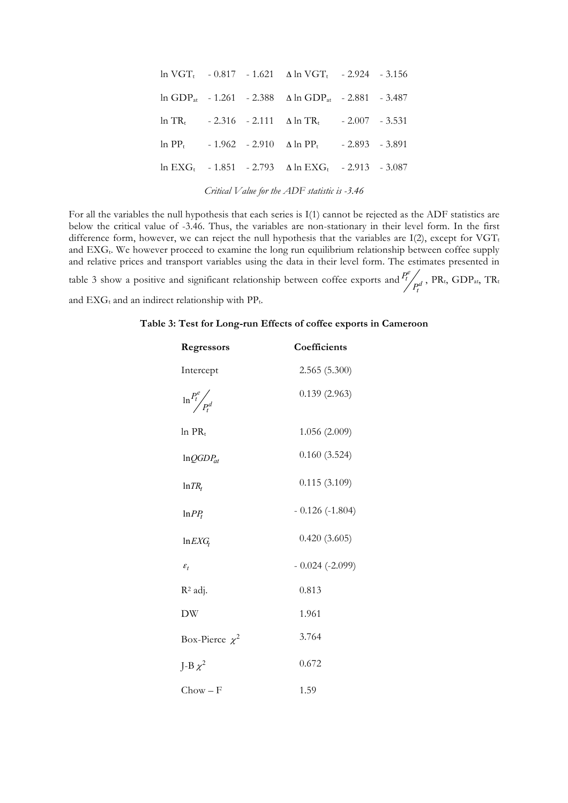|  | $ln \text{ VGT}_t$ - 0.817 - 1.621 $\Delta \ln \text{ VGT}_t$ - 2.924 - 3.156         |  |
|--|---------------------------------------------------------------------------------------|--|
|  | $\ln$ GDP <sub>at</sub> - 1.261 - 2.388 $\Delta$ ln GDP <sub>at</sub> - 2.881 - 3.487 |  |
|  | $\ln TR_t$ - 2.316 - 2.111 $\Delta \ln TR_t$ - 2.007 - 3.531                          |  |
|  | $\ln PP_{t}$ - 1.962 - 2.910 $\Delta \ln PP_{t}$ - 2.893 - 3.891                      |  |
|  | $\ln$ EXG <sub>t</sub> - 1.851 - 2.793 $\Delta$ ln EXG <sub>t</sub> - 2.913 - 3.087   |  |
|  |                                                                                       |  |

*Critical Value for the ADF statistic is -3.46*

For all the variables the null hypothesis that each series is I(1) cannot be rejected as the ADF statistics are below the critical value of -3.46. Thus, the variables are non-stationary in their level form. In the first difference form, however, we can reject the null hypothesis that the variables are  $I(2)$ , except for VGT<sub>t</sub> and EXG<sub>t</sub>. We however proceed to examine the long run equilibrium relationship between coffee supply and relative prices and transport variables using the data in their level form. The estimates presented in table 3 show a positive and significant relationship between coffee exports and  $\frac{P_t}{P_t}$ *e t*  $\frac{P_t^e}{P_t^d}$  , PR<sub>t</sub>, GDP<sub>at</sub>, TR<sub>t</sub> and  $EXG_t$  and an indirect relationship with  $PP_t$ .

| Regressors                | Coefficients     |
|---------------------------|------------------|
| Intercept                 | 2.565(5.300)     |
| $\ln \frac{P_t^e}{P_t^d}$ | 0.139(2.963)     |
| $ln PR_t$                 | 1.056 (2.009)    |
| $ln QGDP_{at}$            | 0.160(3.524)     |
| $ln TR_t$                 | 0.115(3.109)     |
| $ln PP_t$                 | $-0.126(-1.804)$ |
| $ln$ <i>EXG</i>           | 0.420(3.605)     |
| $\varepsilon_{t}$         | $-0.024(-2.099)$ |
| R <sup>2</sup> adj.       | 0.813            |
| DW                        | 1.961            |
| Box-Pierce $\chi^2$       | 3.764            |
| J-B $\chi^2$              | 0.672            |
| $Chow - F$                | 1.59             |

#### **Table 3: Test for Long-run Effects of coffee exports in Cameroon**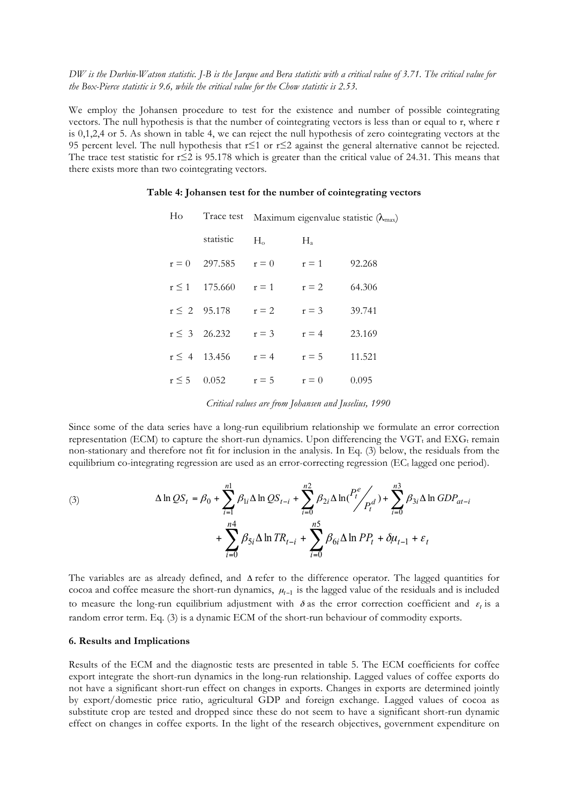*DW is the Durbin-Watson statistic. J-B is the Jarque and Bera statistic with a critical value of 3.71. The critical value for the Box-Pierce statistic is 9.6, while the critical value for the Chow statistic is 2.53.*

We employ the Johansen procedure to test for the existence and number of possible cointegrating vectors. The null hypothesis is that the number of cointegrating vectors is less than or equal to r, where r is 0,1,2,4 or 5. As shown in table 4, we can reject the null hypothesis of zero cointegrating vectors at the 95 percent level. The null hypothesis that r≤1 or r≤2 against the general alternative cannot be rejected. The trace test statistic for r≤2 is 95.178 which is greater than the critical value of 24.31. This means that there exists more than two cointegrating vectors.

#### **Table 4: Johansen test for the number of cointegrating vectors**

| Ho         | Trace test        | Maximum eigenvalue statistic $(\lambda_{\text{max}})$ |             |        |
|------------|-------------------|-------------------------------------------------------|-------------|--------|
|            | statistic         | $H_{\alpha}$                                          | $H_{\rm a}$ |        |
| $r = 0$    | 297.585           | $r = 0$                                               | $r = 1$     | 92.268 |
| $r \leq 1$ | 175.660           | $r = 1$                                               | $r = 2$     | 64.306 |
|            | $r \leq 2$ 95.178 | $r = 2$                                               | $r = 3$     | 39.741 |
|            | $r \leq 3$ 26.232 | $r = 3$                                               | $r = 4$     | 23.169 |
|            | $r \leq 4$ 13.456 | $r = 4$                                               | $r = 5$     | 11.521 |
| $r \leq 5$ | 0.052             | $r = 5$                                               | $r = 0$     | 0.095  |

| Critical values are from Johansen and Juselius, 1990 |  |  |  |  |  |
|------------------------------------------------------|--|--|--|--|--|
|------------------------------------------------------|--|--|--|--|--|

Since some of the data series have a long-run equilibrium relationship we formulate an error correction representation (ECM) to capture the short-run dynamics. Upon differencing the  $VGT_t$  and  $EXG_t$  remain non-stationary and therefore not fit for inclusion in the analysis. In Eq. (3) below, the residuals from the equilibrium co-integrating regression are used as an error-correcting regression (EC<sub>t</sub> lagged one period).

(3) 
$$
\Delta \ln QS_t = \beta_0 + \sum_{i=1}^{n1} \beta_{1i} \Delta \ln QS_{t-i} + \sum_{i=0}^{n2} \beta_{2i} \Delta \ln \left(\frac{P_t^e}{P_t^d}\right) + \sum_{i=0}^{n3} \beta_{3i} \Delta \ln GDP_{at-i} + \sum_{i=0}^{n4} \beta_{5i} \Delta \ln TR_{t-i} + \sum_{i=0}^{n5} \beta_{6i} \Delta \ln PP_t + \delta \mu_{t-1} + \varepsilon_t
$$

The variables are as already defined, and Δ refer to the difference operator. The lagged quantities for cocoa and coffee measure the short-run dynamics, <sup>µ</sup>*t*−<sup>1</sup> is the lagged value of the residuals and is included to measure the long-run equilibrium adjustment with  $\delta$  as the error correction coefficient and  $\varepsilon_t$  is a random error term. Eq. (3) is a dynamic ECM of the short-run behaviour of commodity exports.

## **6. Results and Implications**

Results of the ECM and the diagnostic tests are presented in table 5. The ECM coefficients for coffee export integrate the short-run dynamics in the long-run relationship. Lagged values of coffee exports do not have a significant short-run effect on changes in exports. Changes in exports are determined jointly by export/domestic price ratio, agricultural GDP and foreign exchange. Lagged values of cocoa as substitute crop are tested and dropped since these do not seem to have a significant short-run dynamic effect on changes in coffee exports. In the light of the research objectives, government expenditure on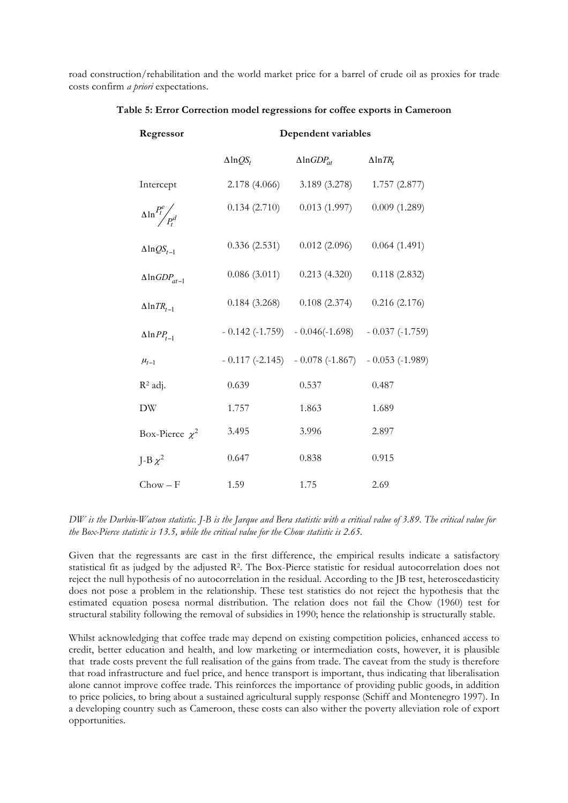road construction/rehabilitation and the world market price for a barrel of crude oil as proxies for trade costs confirm *a priori* expectations.

| Regressor                        | Dependent variables |                                  |                    |  |  |  |
|----------------------------------|---------------------|----------------------------------|--------------------|--|--|--|
|                                  | $\Delta$ ln $QS_t$  | $\Delta$ ln $GDP_{at}$           | $\Delta$ ln $TR_t$ |  |  |  |
| Intercept                        | 2.178 (4.066)       | 3.189(3.278)                     | 1.757(2.877)       |  |  |  |
| $\Delta \ln \frac{P_t^e}{P_t^d}$ | 0.134(2.710)        | 0.013(1.997)                     | 0.009(1.289)       |  |  |  |
| $\Delta$ ln $QS_{t-1}$           | 0.336(2.531)        | 0.012(2.096)                     | 0.064(1.491)       |  |  |  |
| $\Delta$ ln $GDP_{at-1}$         | 0.086(3.011)        | 0.213(4.320)                     | 0.118(2.832)       |  |  |  |
| $\Delta$ ln $TR_{t-1}$           | 0.184(3.268)        | 0.108(2.374)                     | 0.216(2.176)       |  |  |  |
| $\Delta$ ln $PP_{t-1}$           |                     | $-0.142(-1.759) - 0.046(-1.698)$ | $-0.037(-1.759)$   |  |  |  |
| $\mu_{t-1}$                      |                     | $-0.117(-2.145) - 0.078(-1.867)$ | $-0.053(-1.989)$   |  |  |  |
| $R^2$ adj.                       | 0.639               | 0.537                            | 0.487              |  |  |  |
| $\rm{DW}$                        | 1.757               | 1.863                            | 1.689              |  |  |  |
| Box-Pierce $\chi^2$              | 3.495               | 3.996                            | 2.897              |  |  |  |
| J-B $\chi^2$                     | 0.647               | 0.838                            | 0.915              |  |  |  |
| $Chow - F$                       | 1.59                | 1.75                             | 2.69               |  |  |  |

**Table 5: Error Correction model regressions for coffee exports in Cameroon**

*DW is the Durbin-Watson statistic. J-B is the Jarque and Bera statistic with a critical value of 3.89. The critical value for the Box-Pierce statistic is 13.5, while the critical value for the Chow statistic is 2.65.*

Given that the regressants are cast in the first difference, the empirical results indicate a satisfactory statistical fit as judged by the adjusted R2. The Box-Pierce statistic for residual autocorrelation does not reject the null hypothesis of no autocorrelation in the residual. According to the JB test, heteroscedasticity does not pose a problem in the relationship. These test statistics do not reject the hypothesis that the estimated equation posesa normal distribution. The relation does not fail the Chow (1960) test for structural stability following the removal of subsidies in 1990; hence the relationship is structurally stable.

Whilst acknowledging that coffee trade may depend on existing competition policies, enhanced access to credit, better education and health, and low marketing or intermediation costs, however, it is plausible that trade costs prevent the full realisation of the gains from trade. The caveat from the study is therefore that road infrastructure and fuel price, and hence transport is important, thus indicating that liberalisation alone cannot improve coffee trade. This reinforces the importance of providing public goods, in addition to price policies, to bring about a sustained agricultural supply response (Schiff and Montenegro 1997). In a developing country such as Cameroon, these costs can also wither the poverty alleviation role of export opportunities.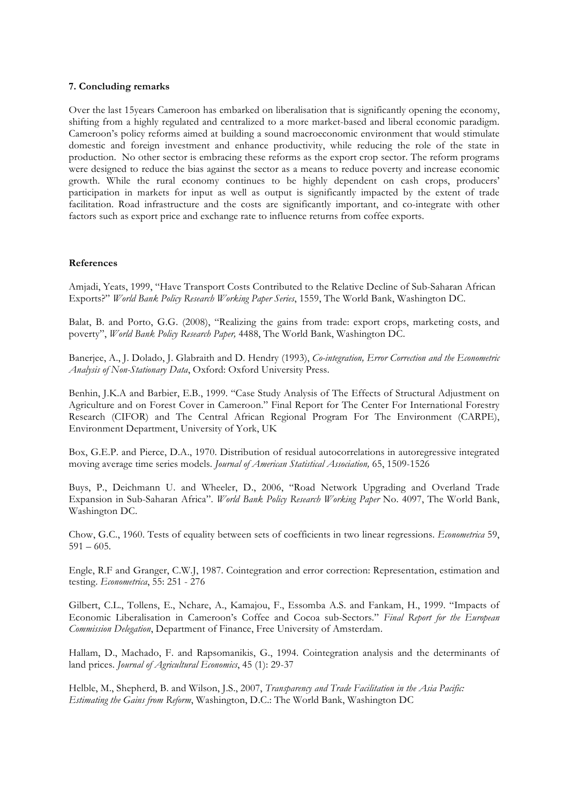## **7. Concluding remarks**

Over the last 15years Cameroon has embarked on liberalisation that is significantly opening the economy, shifting from a highly regulated and centralized to a more market-based and liberal economic paradigm. Cameroon's policy reforms aimed at building a sound macroeconomic environment that would stimulate domestic and foreign investment and enhance productivity, while reducing the role of the state in production. No other sector is embracing these reforms as the export crop sector. The reform programs were designed to reduce the bias against the sector as a means to reduce poverty and increase economic growth. While the rural economy continues to be highly dependent on cash crops, producers' participation in markets for input as well as output is significantly impacted by the extent of trade facilitation. Road infrastructure and the costs are significantly important, and co-integrate with other factors such as export price and exchange rate to influence returns from coffee exports.

### **References**

Amjadi, Yeats, 1999, "Have Transport Costs Contributed to the Relative Decline of Sub-Saharan African Exports?" *World Bank Policy Research Working Paper Series*, 1559, The World Bank, Washington DC.

Balat, B. and Porto, G.G. (2008), "Realizing the gains from trade: export crops, marketing costs, and poverty", *World Bank Policy Research Paper,* 4488, The World Bank, Washington DC.

Banerjee, A., J. Dolado, J. Glabraith and D. Hendry (1993), *Co-integration, Error Correction and the Econometric Analysis of Non-Stationary Data*, Oxford: Oxford University Press.

Benhin, J.K.A and Barbier, E.B., 1999. "Case Study Analysis of The Effects of Structural Adjustment on Agriculture and on Forest Cover in Cameroon." Final Report for The Center For International Forestry Research (CIFOR) and The Central African Regional Program For The Environment (CARPE), Environment Department, University of York, UK

Box, G.E.P. and Pierce, D.A., 1970. Distribution of residual autocorrelations in autoregressive integrated moving average time series models. *Journal of American Statistical Association,* 65, 1509-1526

Buys, P., Deichmann U. and Wheeler, D., 2006, "Road Network Upgrading and Overland Trade Expansion in Sub-Saharan Africa". *World Bank Policy Research Working Paper* No. 4097, The World Bank, Washington DC.

Chow, G.C., 1960. Tests of equality between sets of coefficients in two linear regressions. *Econometrica* 59,  $591 - 605$ .

Engle, R.F and Granger, C.W.J, 1987. Cointegration and error correction: Representation, estimation and testing. *Econometrica*, 55: 251 - 276

Gilbert, C.L., Tollens, E., Nchare, A., Kamajou, F., Essomba A.S. and Fankam, H., 1999. "Impacts of Economic Liberalisation in Cameroon's Coffee and Cocoa sub-Sectors." *Final Report for the European Commission Delegation*, Department of Finance, Free University of Amsterdam.

Hallam, D., Machado, F. and Rapsomanikis, G., 1994. Cointegration analysis and the determinants of land prices. *Journal of Agricultural Economics*, 45 (1): 29-37

Helble, M., Shepherd, B. and Wilson, J.S., 2007, *Transparency and Trade Facilitation in the Asia Pacific: Estimating the Gains from Reform*, Washington, D.C.: The World Bank, Washington DC